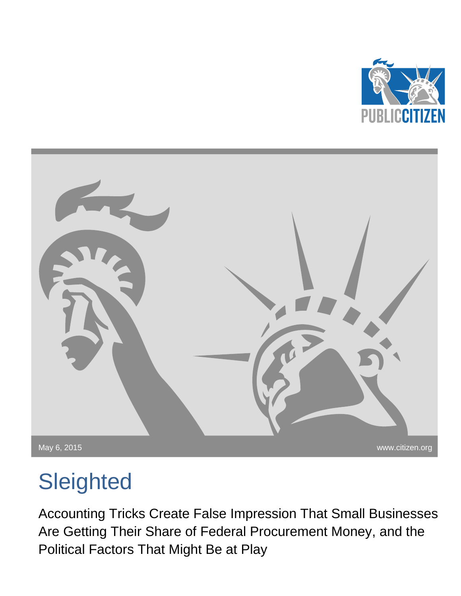



# **Sleighted**

Accounting Tricks Create False Impression That Small Businesses Are Getting Their Share of Federal Procurement Money, and the Political Factors That Might Be at Play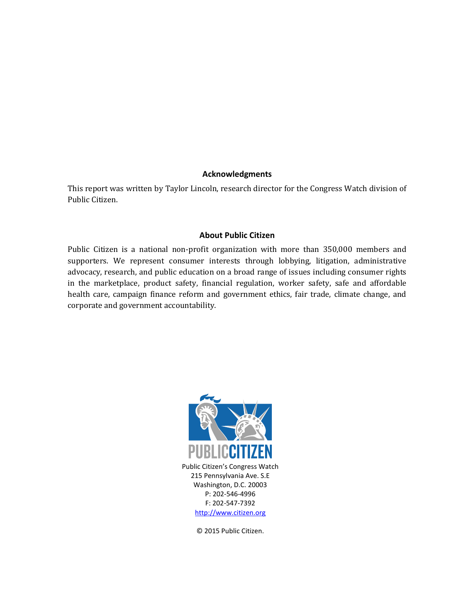#### **Acknowledgments**

This report was written by Taylor Lincoln, research director for the Congress Watch division of Public Citizen.

#### **About Public Citizen**

Public Citizen is a national non-profit organization with more than 350,000 members and supporters. We represent consumer interests through lobbying, litigation, administrative advocacy, research, and public education on a broad range of issues including consumer rights in the marketplace, product safety, financial regulation, worker safety, safe and affordable health care, campaign finance reform and government ethics, fair trade, climate change, and corporate and government accountability.



© 2015 Public Citizen.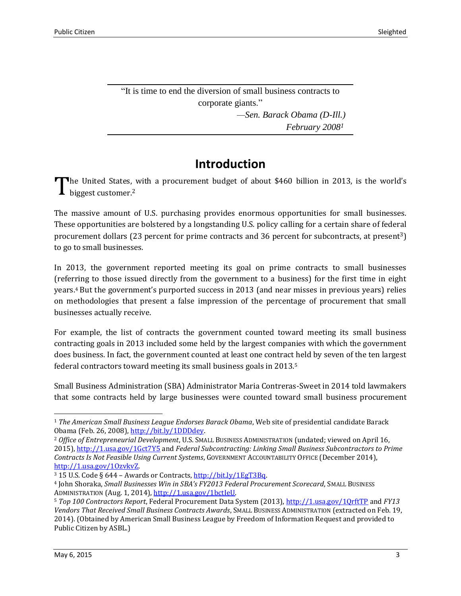"It is time to end the diversion of small business contracts to corporate giants." *—Sen. Barack Obama (D-Ill.) February 2008<sup>1</sup>*

## **Introduction**

The United States, with a procurement budget of about \$460 billion in 2013, is the world's biggest customer.<sup>2</sup> biggest customer. 2

The massive amount of U.S. purchasing provides enormous opportunities for small businesses. These opportunities are bolstered by a longstanding U.S. policy calling for a certain share of federal procurement dollars (23 percent for prime contracts and 36 percent for subcontracts, at present3) to go to small businesses.

In 2013, the government reported meeting its goal on prime contracts to small businesses (referring to those issued directly from the government to a business) for the first time in eight years.<sup>4</sup> But the government's purported success in 2013 (and near misses in previous years) relies on methodologies that present a false impression of the percentage of procurement that small businesses actually receive.

For example, the list of contracts the government counted toward meeting its small business contracting goals in 2013 included some held by the largest companies with which the government does business. In fact, the government counted at least one contract held by seven of the ten largest federal contractors toward meeting its small business goals in 2013.<sup>5</sup>

Small Business Administration (SBA) Administrator Maria Contreras-Sweet in 2014 told lawmakers that some contracts held by large businesses were counted toward small business procurement

l

<sup>1</sup> *The American Small Business League Endorses Barack Obama*, Web site of presidential candidate Barack Obama (Feb. 26, 2008)[, http://bit.ly/1DDDdey.](http://bit.ly/1DDDdey)

<sup>2</sup> *Office of Entrepreneurial Development*, U.S. SMALL BUSINESS ADMINISTRATION (undated; viewed on April 16, 2015),<http://1.usa.gov/1Gct7Y5> and *Federal Subcontracting: Linking Small Business Subcontractors to Prime Contracts Is Not Feasible Using Current Systems*, GOVERNMENT ACCOUNTABILITY OFFICE (December 2014), [http://1.usa.gov/1OzvkvZ.](http://1.usa.gov/1OzvkvZ)

<sup>3</sup> 15 U.S. Code § 644 – Awards or Contracts[, http://bit.ly/1EgT3Bq.](http://bit.ly/1EgT3Bq)

<sup>4</sup> John Shoraka, *Small Businesses Win in SBA's FY2013 Federal Procurement Scorecard*, SMALL BUSINESS ADMINISTRATION (Aug. 1, 2014)[, http://1.usa.gov/1bctIeU.](http://1.usa.gov/1bctIeU)

<sup>5</sup> *Top 100 Contractors Report*, Federal Procurement Data System (2013),<http://1.usa.gov/1QrftTP> and *FY13 Vendors That Received Small Business Contracts Awards*, SMALL BUSINESS ADMINISTRATION (extracted on Feb. 19, 2014). (Obtained by American Small Business League by Freedom of Information Request and provided to Public Citizen by ASBL.)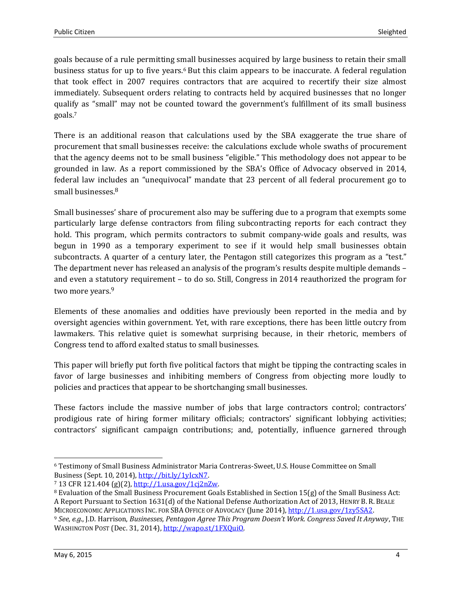goals because of a rule permitting small businesses acquired by large business to retain their small business status for up to five years.<sup>6</sup> But this claim appears to be inaccurate. A federal regulation that took effect in 2007 requires contractors that are acquired to recertify their size almost immediately. Subsequent orders relating to contracts held by acquired businesses that no longer qualify as "small" may not be counted toward the government's fulfillment of its small business goals.<sup>7</sup>

There is an additional reason that calculations used by the SBA exaggerate the true share of procurement that small businesses receive: the calculations exclude whole swaths of procurement that the agency deems not to be small business "eligible." This methodology does not appear to be grounded in law. As a report commissioned by the SBA's Office of Advocacy observed in 2014, federal law includes an "unequivocal" mandate that 23 percent of all federal procurement go to small businesses. 8

Small businesses' share of procurement also may be suffering due to a program that exempts some particularly large defense contractors from filing subcontracting reports for each contract they hold. This program, which permits contractors to submit company-wide goals and results, was begun in 1990 as a temporary experiment to see if it would help small businesses obtain subcontracts. A quarter of a century later, the Pentagon still categorizes this program as a "test." The department never has released an analysis of the program's results despite multiple demands – and even a statutory requirement – to do so. Still, Congress in 2014 reauthorized the program for two more years.<sup>9</sup>

Elements of these anomalies and oddities have previously been reported in the media and by oversight agencies within government. Yet, with rare exceptions, there has been little outcry from lawmakers. This relative quiet is somewhat surprising because, in their rhetoric, members of Congress tend to afford exalted status to small businesses.

This paper will briefly put forth five political factors that might be tipping the contracting scales in favor of large businesses and inhibiting members of Congress from objecting more loudly to policies and practices that appear to be shortchanging small businesses.

These factors include the massive number of jobs that large contractors control; contractors' prodigious rate of hiring former military officials; contractors' significant lobbying activities; contractors' significant campaign contributions; and, potentially, influence garnered through

<sup>6</sup> Testimony of Small Business Administrator Maria Contreras-Sweet, U.S. House Committee on Small Business (Sept. 10, 2014), [http://bit.ly/1yIcxN7.](http://bit.ly/1yIcxN7)

<sup>7</sup> 13 CFR 121.404 (g)(2), [http://1.usa.gov/1cj2nZw.](http://1.usa.gov/1cj2nZw)

<sup>8</sup> Evaluation of the Small Business Procurement Goals Established in Section 15(g) of the Small Business Act: A Report Pursuant to Section 1631(d) of the National Defense Authorization Act of 2013, HENRY B. R. BEALE MICROECONOMIC APPLICATIONS INC. FOR SBA OFFICE OF ADVOCACY (June 2014), [http://1.usa.gov/1zy5SA2.](http://1.usa.gov/1zy5SA2)

<sup>9</sup> *See, e.g*., J.D. Harrison, *Businesses, Pentagon Agree This Program Doesn't Work. Congress Saved It Anyway*, THE WASHINGTON POST (Dec. 31, 2014), [http://wapo.st/1FXQuiO.](http://wapo.st/1FXQuiO)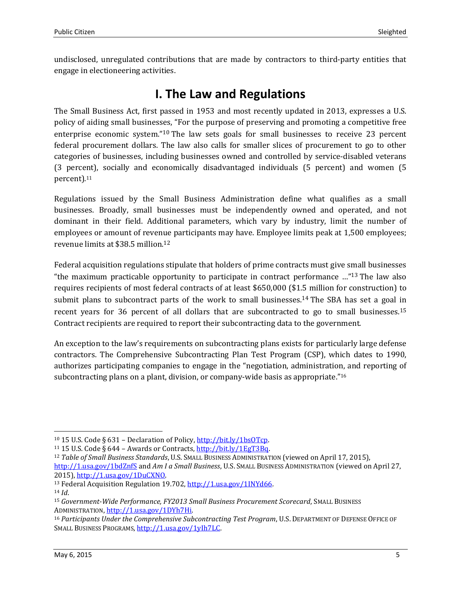undisclosed, unregulated contributions that are made by contractors to third-party entities that engage in electioneering activities.

### **I. The Law and Regulations**

The Small Business Act, first passed in 1953 and most recently updated in 2013, expresses a U.S. policy of aiding small businesses, "For the purpose of preserving and promoting a competitive free enterprise economic system."<sup>10</sup> The law sets goals for small businesses to receive 23 percent federal procurement dollars. The law also calls for smaller slices of procurement to go to other categories of businesses, including businesses owned and controlled by service-disabled veterans (3 percent), socially and economically disadvantaged individuals (5 percent) and women (5 percent).<sup>11</sup>

Regulations issued by the Small Business Administration define what qualifies as a small businesses. Broadly, small businesses must be independently owned and operated, and not dominant in their field. Additional parameters, which vary by industry, limit the number of employees or amount of revenue participants may have. Employee limits peak at 1,500 employees; revenue limits at \$38.5 million. 12

Federal acquisition regulations stipulate that holders of prime contracts must give small businesses "the maximum practicable opportunity to participate in contract performance …" <sup>13</sup> The law also requires recipients of most federal contracts of at least \$650,000 (\$1.5 million for construction) to submit plans to subcontract parts of the work to small businesses.<sup>14</sup> The SBA has set a goal in recent years for 36 percent of all dollars that are subcontracted to go to small businesses.<sup>15</sup> Contract recipients are required to report their subcontracting data to the government.

An exception to the law's requirements on subcontracting plans exists for particularly large defense contractors. The Comprehensive Subcontracting Plan Test Program (CSP), which dates to 1990, authorizes participating companies to engage in the "negotiation, administration, and reporting of subcontracting plans on a plant, division, or company-wide basis as appropriate."<sup>16</sup>

<sup>10</sup> 15 U.S. Code § 631 – Declaration of Policy[, http://bit.ly/1bsOTcp.](http://bit.ly/1bsOTcp)

<sup>&</sup>lt;sup>11</sup> 15 U.S. Code § 644 – Awards or Contracts,  $\frac{http://bit.ly/1EgT3Bq.}{}$ 

<sup>12</sup> *Table of Small Business Standards*, U.S. SMALL BUSINESS ADMINISTRATION (viewed on April 17, 2015), <http://1.usa.gov/1bdZnfS> and *Am I a Small Business*, U.S. SMALL BUSINESS ADMINISTRATION (viewed on April 27, 2015), [http://1.usa.gov/1DuCXNO.](http://1.usa.gov/1DuCXNO)

<sup>&</sup>lt;sup>13</sup> Federal Acquisition Regulation 19.702, [http://1.usa.gov/1INYd66.](http://1.usa.gov/1INYd66) <sup>14</sup> *Id*.

<sup>15</sup> *Government-Wide Performance, FY2013 Small Business Procurement Scorecard*, SMALL BUSINESS ADMINISTRATION[, http://1.usa.gov/1DYh7Hi.](http://1.usa.gov/1DYh7Hi)

<sup>16</sup> *Participants Under the Comprehensive Subcontracting Test Program*, U.S. DEPARTMENT OF DEFENSE OFFICE OF SMALL BUSINESS PROGRAMS, [http://1.usa.gov/1yIh7LC.](http://1.usa.gov/1yIh7LC)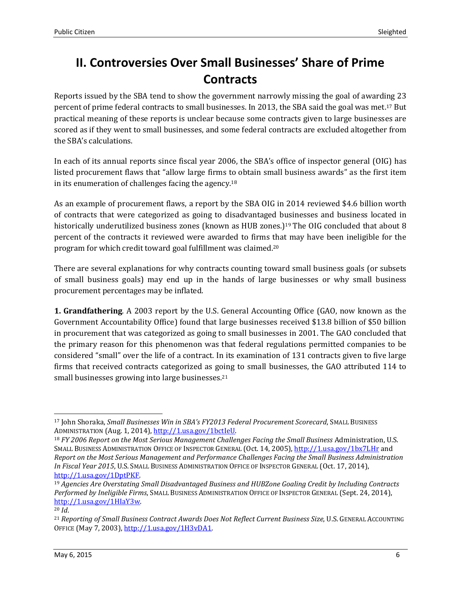# **II. Controversies Over Small Businesses' Share of Prime Contracts**

Reports issued by the SBA tend to show the government narrowly missing the goal of awarding 23 percent of prime federal contracts to small businesses. In 2013, the SBA said the goal was met.<sup>17</sup> But practical meaning of these reports is unclear because some contracts given to large businesses are scored as if they went to small businesses, and some federal contracts are excluded altogether from the SBA's calculations.

In each of its annual reports since fiscal year 2006, the SBA's office of inspector general (OIG) has listed procurement flaws that "allow large firms to obtain small business awards" as the first item in its enumeration of challenges facing the agency. 18

As an example of procurement flaws, a report by the SBA OIG in 2014 reviewed \$4.6 billion worth of contracts that were categorized as going to disadvantaged businesses and business located in historically underutilized business zones (known as HUB zones.)<sup>19</sup> The OIG concluded that about 8 percent of the contracts it reviewed were awarded to firms that may have been ineligible for the program for which credit toward goal fulfillment was claimed. 20

There are several explanations for why contracts counting toward small business goals (or subsets of small business goals) may end up in the hands of large businesses or why small business procurement percentages may be inflated.

**1. Grandfathering**. A 2003 report by the U.S. General Accounting Office (GAO, now known as the Government Accountability Office) found that large businesses received \$13.8 billion of \$50 billion in procurement that was categorized as going to small businesses in 2001. The GAO concluded that the primary reason for this phenomenon was that federal regulations permitted companies to be considered "small" over the life of a contract. In its examination of 131 contracts given to five large firms that received contracts categorized as going to small businesses, the GAO attributed 114 to small businesses growing into large businesses.<sup>21</sup>

l <sup>17</sup> John Shoraka, *Small Businesses Win in SBA's FY2013 Federal Procurement Scorecard*, SMALL BUSINESS ADMINISTRATION (Aug. 1, 2014)[, http://1.usa.gov/1bctIeU.](http://1.usa.gov/1bctIeU)

<sup>18</sup> *FY 2006 Report on the Most Serious Management Challenges Facing the Small Business* Administration, U.S. SMALL BUSINESS ADMINISTRATION OFFICE OF INSPECTOR GENERAL (Oct. 14, 2005),<http://1.usa.gov/1bx7LHr> and *Report on the Most Serious Management and Performance Challenges Facing the Small Business Administration In Fiscal Year 2015*, U.S. SMALL BUSINESS ADMINISTRATION OFFICE OF INSPECTOR GENERAL (Oct. 17, 2014), [http://1.usa.gov/1DptPKF.](http://1.usa.gov/1DptPKF)

<sup>19</sup> *Agencies Are Overstating Small Disadvantaged Business and HUBZone Goaling Credit by Including Contracts Performed by Ineligible Firms*, SMALL BUSINESS ADMINISTRATION OFFICE OF INSPECTOR GENERAL (Sept. 24, 2014), [http://1.usa.gov/1HIaY3w.](http://1.usa.gov/1HIaY3w) 

<sup>20</sup> *Id*.

<sup>21</sup> *Reporting of Small Business Contract Awards Does Not Reflect Current Business Size*, U.S. GENERAL ACCOUNTING OFFICE (May 7, 2003), [http://1.usa.gov/1H3vDA1.](http://1.usa.gov/1H3vDA1)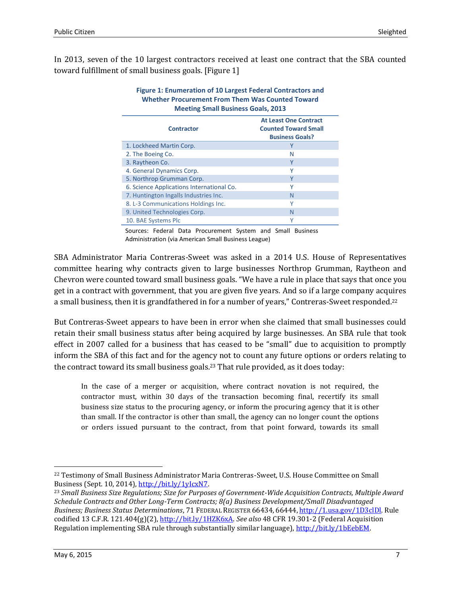In 2013, seven of the 10 largest contractors received at least one contract that the SBA counted toward fulfillment of small business goals. [Figure 1]

| <b>Figure 1: Enumeration of 10 Largest Federal Contractors and</b><br><b>Whether Procurement From Them Was Counted Toward</b><br><b>Meeting Small Business Goals, 2013</b> |                                                                                       |  |  |
|----------------------------------------------------------------------------------------------------------------------------------------------------------------------------|---------------------------------------------------------------------------------------|--|--|
| <b>Contractor</b>                                                                                                                                                          | <b>At Least One Contract</b><br><b>Counted Toward Small</b><br><b>Business Goals?</b> |  |  |
| 1. Lockheed Martin Corp.                                                                                                                                                   | Υ                                                                                     |  |  |
| 2. The Boeing Co.                                                                                                                                                          | N                                                                                     |  |  |
| 3. Raytheon Co.                                                                                                                                                            | Y                                                                                     |  |  |
| 4. General Dynamics Corp.                                                                                                                                                  | γ                                                                                     |  |  |
| 5. Northrop Grumman Corp.                                                                                                                                                  | Υ                                                                                     |  |  |
| 6. Science Applications International Co.                                                                                                                                  | Υ                                                                                     |  |  |
| 7. Huntington Ingalls Industries Inc.                                                                                                                                      | N                                                                                     |  |  |
| 8. L-3 Communications Holdings Inc.                                                                                                                                        | v                                                                                     |  |  |
| 9. United Technologies Corp.                                                                                                                                               | N                                                                                     |  |  |
| 10. BAE Systems Plc                                                                                                                                                        | Υ                                                                                     |  |  |

Sources: Federal Data Procurement System and Small Business Administration (via American Small Business League)

SBA Administrator Maria Contreras-Sweet was asked in a 2014 U.S. House of Representatives committee hearing why contracts given to large businesses Northrop Grumman, Raytheon and Chevron were counted toward small business goals. "We have a rule in place that says that once you get in a contract with government, that you are given five years. And so if a large company acquires a small business, then it is grandfathered in for a number of years," Contreras-Sweet responded.<sup>22</sup>

But Contreras-Sweet appears to have been in error when she claimed that small businesses could retain their small business status after being acquired by large businesses. An SBA rule that took effect in 2007 called for a business that has ceased to be "small" due to acquisition to promptly inform the SBA of this fact and for the agency not to count any future options or orders relating to the contract toward its small business goals.<sup>23</sup> That rule provided, as it does today:

In the case of a merger or acquisition, where contract novation is not required, the contractor must, within 30 days of the transaction becoming final, recertify its small business size status to the procuring agency, or inform the procuring agency that it is other than small. If the contractor is other than small, the agency can no longer count the options or orders issued pursuant to the contract, from that point forward, towards its small

l

<sup>22</sup> Testimony of Small Business Administrator Maria Contreras-Sweet, U.S. House Committee on Small Business (Sept. 10, 2014), [http://bit.ly/1yIcxN7.](http://bit.ly/1yIcxN7)

<sup>23</sup> *Small Business Size Regulations; Size for Purposes of Government-Wide Acquisition Contracts, Multiple Award Schedule Contracts and Other Long-Term Contracts; 8(a) Business Development/Small Disadvantaged Business; Business Status Determinations*, 71 FEDERAL REGISTER 66434, 66444, [http://1.usa.gov/1D3clDl.](http://1.usa.gov/1D3clDl) Rule codified 13 C.F.R. 121.404(g)(2)[, http://bit.ly/1HZK6xA.](http://bit.ly/1HZK6xA) *See also* 48 CFR 19.301-2 (Federal Acquisition Regulation implementing SBA rule through substantially similar language), [http://bit.ly/1bEebEM.](http://bit.ly/1bEebEM)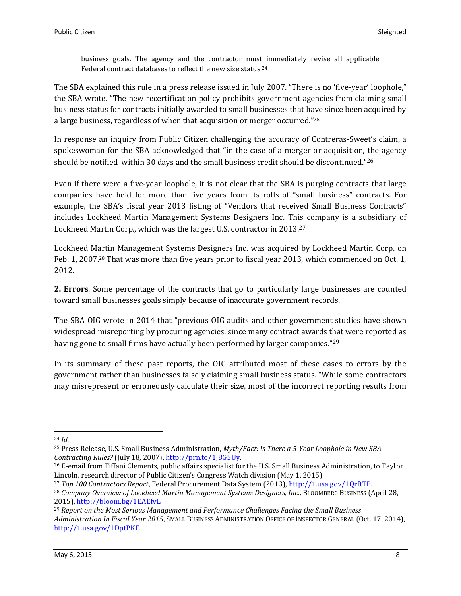business goals. The agency and the contractor must immediately revise all applicable Federal contract databases to reflect the new size status.<sup>24</sup>

The SBA explained this rule in a press release issued in July 2007. "There is no 'five-year' loophole," the SBA wrote. "The new recertification policy prohibits government agencies from claiming small business status for contracts initially awarded to small businesses that have since been acquired by a large business, regardless of when that acquisition or merger occurred."<sup>25</sup>

In response an inquiry from Public Citizen challenging the accuracy of Contreras-Sweet's claim, a spokeswoman for the SBA acknowledged that "in the case of a merger or acquisition, the agency should be notified within 30 days and the small business credit should be discontinued."<sup>26</sup>

Even if there were a five-year loophole, it is not clear that the SBA is purging contracts that large companies have held for more than five years from its rolls of "small business" contracts. For example, the SBA's fiscal year 2013 listing of "Vendors that received Small Business Contracts" includes Lockheed Martin Management Systems Designers Inc. This company is a subsidiary of Lockheed Martin Corp., which was the largest U.S. contractor in 2013.<sup>27</sup>

Lockheed Martin Management Systems Designers Inc. was acquired by Lockheed Martin Corp. on Feb. 1, 2007.<sup>28</sup> That was more than five years prior to fiscal year 2013, which commenced on Oct. 1, 2012.

**2. Errors**. Some percentage of the contracts that go to particularly large businesses are counted toward small businesses goals simply because of inaccurate government records.

The SBA OIG wrote in 2014 that "previous OIG audits and other government studies have shown widespread misreporting by procuring agencies, since many contract awards that were reported as having gone to small firms have actually been performed by larger companies."<sup>29</sup>

In its summary of these past reports, the OIG attributed most of these cases to errors by the government rather than businesses falsely claiming small business status. "While some contractors may misrepresent or erroneously calculate their size, most of the incorrect reporting results from

<sup>24</sup> *Id.*

<sup>25</sup> Press Release, U.S. Small Business Administration, *Myth/Fact: Is There a 5-Year Loophole in New SBA Contracting Rules?* (July 18, 2007)[, http://prn.to/1J8G5Uy.](http://prn.to/1J8G5Uy)

<sup>&</sup>lt;sup>26</sup> E-email from Tiffani Clements, public affairs specialist for the U.S. Small Business Administration, to Taylor Lincoln, research director of Public Citizen's Congress Watch division (May 1, 2015).

<sup>27</sup> *Top 100 Contractors Report*, Federal Procurement Data System (2013), [http://1.usa.gov/1QrftTP.](http://1.usa.gov/1QrftTP)

<sup>28</sup> *Company Overview of Lockheed Martin Management Systems Designers, Inc.*, BLOOMBERG BUSINESS (April 28, 2015),<http://bloom.bg/1EAEfvL>

<sup>29</sup> *Report on the Most Serious Management and Performance Challenges Facing the Small Business Administration In Fiscal Year 2015*, SMALL BUSINESS ADMINISTRATION OFFICE OF INSPECTOR GENERAL (Oct. 17, 2014), [http://1.usa.gov/1DptPKF.](http://1.usa.gov/1DptPKF)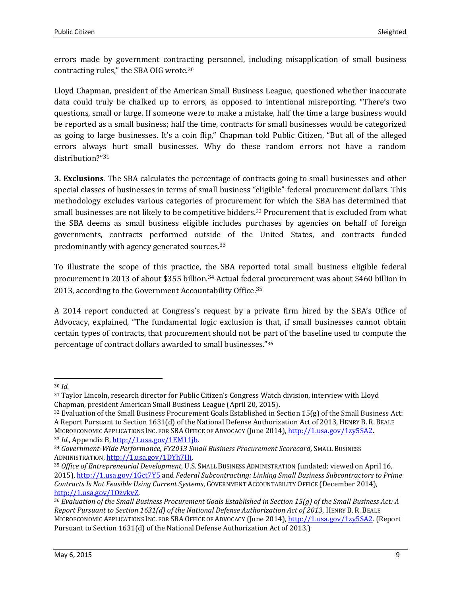errors made by government contracting personnel, including misapplication of small business contracting rules," the SBA OIG wrote.<sup>30</sup>

Lloyd Chapman, president of the American Small Business League, questioned whether inaccurate data could truly be chalked up to errors, as opposed to intentional misreporting. "There's two questions, small or large. If someone were to make a mistake, half the time a large business would be reported as a small business; half the time, contracts for small businesses would be categorized as going to large businesses. It's a coin flip," Chapman told Public Citizen. "But all of the alleged errors always hurt small businesses. Why do these random errors not have a random distribution?"<sup>31</sup>

**3. Exclusions**. The SBA calculates the percentage of contracts going to small businesses and other special classes of businesses in terms of small business "eligible" federal procurement dollars. This methodology excludes various categories of procurement for which the SBA has determined that small businesses are not likely to be competitive bidders.<sup>32</sup> Procurement that is excluded from what the SBA deems as small business eligible includes purchases by agencies on behalf of foreign governments, contracts performed outside of the United States, and contracts funded predominantly with agency generated sources.<sup>33</sup>

To illustrate the scope of this practice, the SBA reported total small business eligible federal procurement in 2013 of about \$355 billion.<sup>34</sup> Actual federal procurement was about \$460 billion in 2013, according to the Government Accountability Office.<sup>35</sup>

A 2014 report conducted at Congress's request by a private firm hired by the SBA's Office of Advocacy, explained, "The fundamental logic exclusion is that, if small businesses cannot obtain certain types of contracts, that procurement should not be part of the baseline used to compute the percentage of contract dollars awarded to small businesses." 36

l <sup>30</sup> *Id.*

<sup>31</sup> Taylor Lincoln, research director for Public Citizen's Congress Watch division, interview with Lloyd Chapman, president American Small Business League (April 20, 2015).

 $32$  Evaluation of the Small Business Procurement Goals Established in Section 15( $g$ ) of the Small Business Act: A Report Pursuant to Section 1631(d) of the National Defense Authorization Act of 2013, HENRY B. R. BEALE MICROECONOMIC APPLICATIONS INC. FOR SBA OFFICE OF ADVOCACY (June 2014), [http://1.usa.gov/1zy5SA2.](http://1.usa.gov/1zy5SA2)

<sup>33</sup> *Id.*, Appendix B[, http://1.usa.gov/1EM11jb.](http://1.usa.gov/1EM11jb)

<sup>34</sup> *Government-Wide Performance, FY2013 Small Business Procurement Scorecard*, SMALL BUSINESS ADMINISTRATION[, http://1.usa.gov/1DYh7Hi.](http://1.usa.gov/1DYh7Hi)

<sup>35</sup> *Office of Entrepreneurial Development*, U.S. SMALL BUSINESS ADMINISTRATION (undated; viewed on April 16, 2015),<http://1.usa.gov/1Gct7Y5> and *Federal Subcontracting: Linking Small Business Subcontractors to Prime Contracts Is Not Feasible Using Current Systems*, GOVERNMENT ACCOUNTABILITY OFFICE (December 2014), [http://1.usa.gov/1OzvkvZ.](http://1.usa.gov/1OzvkvZ)

<sup>36</sup> *Evaluation of the Small Business Procurement Goals Established in Section 15(g) of the Small Business Act: A Report Pursuant to Section 1631(d) of the National Defense Authorization Act of 2013*, HENRY B. R. BEALE MICROECONOMIC APPLICATIONS INC. FOR SBA OFFICE OF ADVOCACY (June 2014), [http://1.usa.gov/1zy5SA2.](http://1.usa.gov/1zy5SA2) (Report Pursuant to Section 1631(d) of the National Defense Authorization Act of 2013.)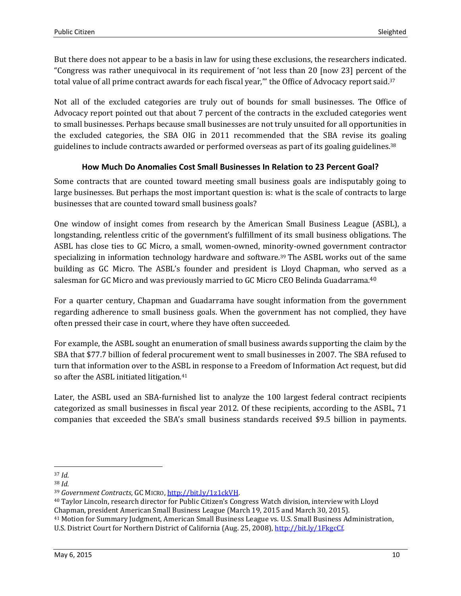But there does not appear to be a basis in law for using these exclusions, the researchers indicated. "Congress was rather unequivocal in its requirement of 'not less than 20 [now 23] percent of the total value of all prime contract awards for each fiscal year," the Office of Advocacy report said.<sup>37</sup>

Not all of the excluded categories are truly out of bounds for small businesses. The Office of Advocacy report pointed out that about 7 percent of the contracts in the excluded categories went to small businesses. Perhaps because small businesses are not truly unsuited for all opportunities in the excluded categories, the SBA OIG in 2011 recommended that the SBA revise its goaling guidelines to include contracts awarded or performed overseas as part of its goaling guidelines.<sup>38</sup>

#### **How Much Do Anomalies Cost Small Businesses In Relation to 23 Percent Goal?**

Some contracts that are counted toward meeting small business goals are indisputably going to large businesses. But perhaps the most important question is: what is the scale of contracts to large businesses that are counted toward small business goals?

One window of insight comes from research by the American Small Business League (ASBL), a longstanding, relentless critic of the government's fulfillment of its small business obligations. The ASBL has close ties to GC Micro, a small, women-owned, minority-owned government contractor specializing in information technology hardware and software.<sup>39</sup> The ASBL works out of the same building as GC Micro. The ASBL's founder and president is Lloyd Chapman, who served as a salesman for GC Micro and was previously married to GC Micro CEO Belinda Guadarrama.<sup>40</sup>

For a quarter century, Chapman and Guadarrama have sought information from the government regarding adherence to small business goals. When the government has not complied, they have often pressed their case in court, where they have often succeeded.

For example, the ASBL sought an enumeration of small business awards supporting the claim by the SBA that \$77.7 billion of federal procurement went to small businesses in 2007. The SBA refused to turn that information over to the ASBL in response to a Freedom of Information Act request, but did so after the ASBL initiated litigation.<sup>41</sup>

Later, the ASBL used an SBA-furnished list to analyze the 100 largest federal contract recipients categorized as small businesses in fiscal year 2012. Of these recipients, according to the ASBL, 71 companies that exceeded the SBA's small business standards received \$9.5 billion in payments.

l <sup>37</sup> *Id.*

<sup>38</sup> *Id.*

<sup>39</sup> *Government Contracts*, GC MICRO[, http://bit.ly/1z1ckVH.](http://bit.ly/1z1ckVH)

<sup>40</sup> Taylor Lincoln, research director for Public Citizen's Congress Watch division, interview with Lloyd Chapman, president American Small Business League (March 19, 2015 and March 30, 2015).

<sup>41</sup> Motion for Summary Judgment, American Small Business League vs. U.S. Small Business Administration, U.S. District Court for Northern District of California (Aug. 25, 2008)[, http://bit.ly/1FkgcCf.](http://bit.ly/1FkgcCf)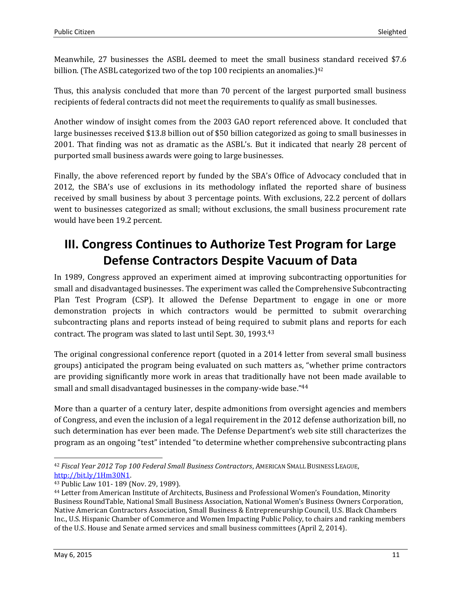Meanwhile, 27 businesses the ASBL deemed to meet the small business standard received \$7.6 billion. (The ASBL categorized two of the top 100 recipients an anomalies.)<sup>42</sup>

Thus, this analysis concluded that more than 70 percent of the largest purported small business recipients of federal contracts did not meet the requirements to qualify as small businesses.

Another window of insight comes from the 2003 GAO report referenced above. It concluded that large businesses received \$13.8 billion out of \$50 billion categorized as going to small businesses in 2001. That finding was not as dramatic as the ASBL's. But it indicated that nearly 28 percent of purported small business awards were going to large businesses.

Finally, the above referenced report by funded by the SBA's Office of Advocacy concluded that in 2012, the SBA's use of exclusions in its methodology inflated the reported share of business received by small business by about 3 percentage points. With exclusions, 22.2 percent of dollars went to businesses categorized as small; without exclusions, the small business procurement rate would have been 19.2 percent.

# **III. Congress Continues to Authorize Test Program for Large Defense Contractors Despite Vacuum of Data**

In 1989, Congress approved an experiment aimed at improving subcontracting opportunities for small and disadvantaged businesses. The experiment was called the Comprehensive Subcontracting Plan Test Program (CSP). It allowed the Defense Department to engage in one or more demonstration projects in which contractors would be permitted to submit overarching subcontracting plans and reports instead of being required to submit plans and reports for each contract. The program was slated to last until Sept. 30, 1993.<sup>43</sup>

The original congressional conference report (quoted in a 2014 letter from several small business groups) anticipated the program being evaluated on such matters as, "whether prime contractors are providing significantly more work in areas that traditionally have not been made available to small and small disadvantaged businesses in the company-wide base."<sup>44</sup>

More than a quarter of a century later, despite admonitions from oversight agencies and members of Congress, and even the inclusion of a legal requirement in the 2012 defense authorization bill, no such determination has ever been made. The Defense Department's web site still characterizes the program as an ongoing "test" intended "to determine whether comprehensive subcontracting plans

<sup>42</sup> *Fiscal Year 2012 Top 100 Federal Small Business Contractors*, AMERICAN SMALL BUSINESS LEAGUE, [http://bit.ly/1Hm30N1.](http://bit.ly/1Hm30N1)

<sup>43</sup> Public Law 101- 189 (Nov. 29, 1989).

<sup>44</sup> Letter from American Institute of Architects, Business and Professional Women's Foundation, Minority Business RoundTable, National Small Business Association, National Women's Business Owners Corporation, Native American Contractors Association, Small Business & Entrepreneurship Council, U.S. Black Chambers Inc., U.S. Hispanic Chamber of Commerce and Women Impacting Public Policy, to chairs and ranking members of the U.S. House and Senate armed services and small business committees (April 2, 2014).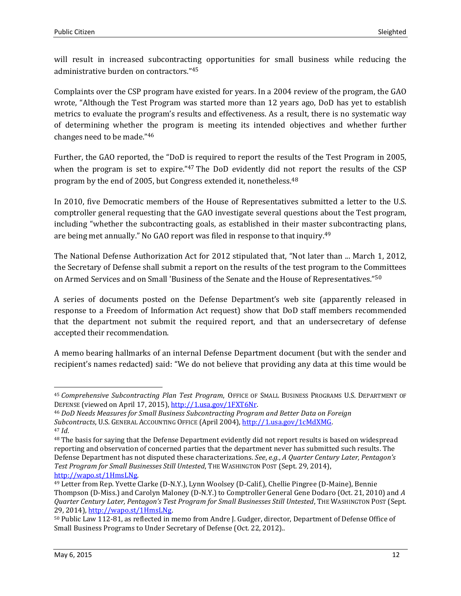will result in increased subcontracting opportunities for small business while reducing the administrative burden on contractors."<sup>45</sup>

Complaints over the CSP program have existed for years. In a 2004 review of the program, the GAO wrote, "Although the Test Program was started more than 12 years ago, DoD has yet to establish metrics to evaluate the program's results and effectiveness. As a result, there is no systematic way of determining whether the program is meeting its intended objectives and whether further changes need to be made."<sup>46</sup>

Further, the GAO reported, the "DoD is required to report the results of the Test Program in 2005, when the program is set to expire."<sup>47</sup> The DoD evidently did not report the results of the CSP program by the end of 2005, but Congress extended it, nonetheless.<sup>48</sup>

In 2010, five Democratic members of the House of Representatives submitted a letter to the U.S. comptroller general requesting that the GAO investigate several questions about the Test program, including "whether the subcontracting goals, as established in their master subcontracting plans, are being met annually." No GAO report was filed in response to that inquiry.<sup>49</sup>

The National Defense Authorization Act for 2012 stipulated that, "Not later than ... March 1, 2012, the Secretary of Defense shall submit a report on the results of the test program to the Committees on Armed Services and on Small 'Business of the Senate and the House of Representatives."<sup>50</sup>

A series of documents posted on the Defense Department's web site (apparently released in response to a Freedom of Information Act request) show that DoD staff members recommended that the department not submit the required report, and that an undersecretary of defense accepted their recommendation.

A memo bearing hallmarks of an internal Defense Department document (but with the sender and recipient's names redacted) said: "We do not believe that providing any data at this time would be

 $\overline{\phantom{0}}$ <sup>45</sup> *Comprehensive Subcontracting Plan Test Program*, OFFICE OF SMALL BUSINESS PROGRAMS U.S. DEPARTMENT OF DEFENSE (viewed on April 17, 2015)[, http://1.usa.gov/1FXT6Nr.](http://1.usa.gov/1FXT6Nr)

<sup>46</sup> *DoD Needs Measures for Small Business Subcontracting Program and Better Data on Foreign Subcontracts*, U.S. GENERAL ACCOUNTING OFFICE (April 2004), [http://1.usa.gov/1cMdXMG.](http://1.usa.gov/1cMdXMG) <sup>47</sup> *Id*.

<sup>48</sup> The basis for saying that the Defense Department evidently did not report results is based on widespread reporting and observation of concerned parties that the department never has submitted such results. The Defense Department has not disputed these characterizations. *See*, *e.g.*, *A Quarter Century Later, Pentagon's Test Program for Small Businesses Still Untested*, THE WASHINGTON POST (Sept. 29, 2014), [http://wapo.st/1HmsLNg.](http://wapo.st/1HmsLNg)

<sup>49</sup> Letter from Rep. Yvette Clarke (D-N.Y.), Lynn Woolsey (D-Calif.), Chellie Pingree (D-Maine), Bennie Thompson (D-Miss.) and Carolyn Maloney (D-N.Y.) to Comptroller General Gene Dodaro (Oct. 21, 2010) and *A Quarter Century Later, Pentagon's Test Program for Small Businesses Still Untested*, THE WASHINGTON POST (Sept. 29, 2014)[, http://wapo.st/1HmsLNg.](http://wapo.st/1HmsLNg)

<sup>50</sup> Public Law 112-81, as reflected in memo from Andre J. Gudger, director, Department of Defense Office of Small Business Programs to Under Secretary of Defense (Oct. 22, 2012)..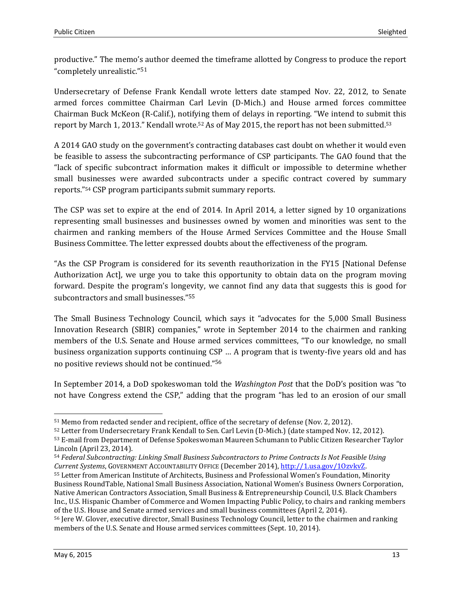productive." The memo's author deemed the timeframe allotted by Congress to produce the report "completely unrealistic."<sup>51</sup>

Undersecretary of Defense Frank Kendall wrote letters date stamped Nov. 22, 2012, to Senate armed forces committee Chairman Carl Levin (D-Mich.) and House armed forces committee Chairman Buck McKeon (R-Calif.), notifying them of delays in reporting. "We intend to submit this report by March 1, 2013." Kendall wrote.<sup>52</sup> As of May 2015, the report has not been submitted.<sup>53</sup>

A 2014 GAO study on the government's contracting databases cast doubt on whether it would even be feasible to assess the subcontracting performance of CSP participants. The GAO found that the "lack of specific subcontract information makes it difficult or impossible to determine whether small businesses were awarded subcontracts under a specific contract covered by summary reports."<sup>54</sup> CSP program participants submit summary reports.

The CSP was set to expire at the end of 2014. In April 2014, a letter signed by 10 organizations representing small businesses and businesses owned by women and minorities was sent to the chairmen and ranking members of the House Armed Services Committee and the House Small Business Committee. The letter expressed doubts about the effectiveness of the program.

"As the CSP Program is considered for its seventh reauthorization in the FY15 [National Defense Authorization Act], we urge you to take this opportunity to obtain data on the program moving forward. Despite the program's longevity, we cannot find any data that suggests this is good for subcontractors and small businesses."<sup>55</sup>

The Small Business Technology Council, which says it "advocates for the 5,000 Small Business Innovation Research (SBIR) companies," wrote in September 2014 to the chairmen and ranking members of the U.S. Senate and House armed services committees, "To our knowledge, no small business organization supports continuing CSP … A program that is twenty-five years old and has no positive reviews should not be continued."<sup>56</sup>

In September 2014, a DoD spokeswoman told the *Washington Post* that the DoD's position was "to not have Congress extend the CSP," adding that the program "has led to an erosion of our small

l <sup>51</sup> Memo from redacted sender and recipient, office of the secretary of defense (Nov. 2, 2012).

<sup>52</sup> Letter from Undersecretary Frank Kendall to Sen. Carl Levin (D-Mich.) (date stamped Nov. 12, 2012). <sup>53</sup> E-mail from Department of Defense Spokeswoman Maureen Schumann to Public Citizen Researcher Taylor

Lincoln (April 23, 2014).

<sup>54</sup> *Federal Subcontracting: Linking Small Business Subcontractors to Prime Contracts Is Not Feasible Using Current Systems*, GOVERNMENT ACCOUNTABILITY OFFICE (December 2014), [http://1.usa.gov/1OzvkvZ.](http://1.usa.gov/1OzvkvZ)

<sup>55</sup> Letter from American Institute of Architects, Business and Professional Women's Foundation, Minority Business RoundTable, National Small Business Association, National Women's Business Owners Corporation, Native American Contractors Association, Small Business & Entrepreneurship Council, U.S. Black Chambers Inc., U.S. Hispanic Chamber of Commerce and Women Impacting Public Policy, to chairs and ranking members of the U.S. House and Senate armed services and small business committees (April 2, 2014).

<sup>56</sup> Jere W. Glover, executive director, Small Business Technology Council, letter to the chairmen and ranking members of the U.S. Senate and House armed services committees (Sept. 10, 2014).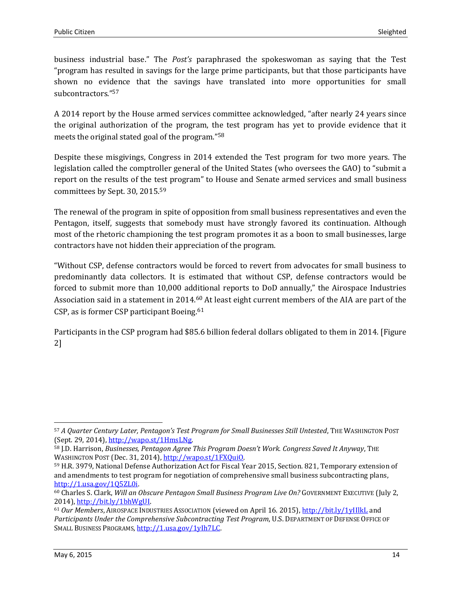business industrial base." The *Post's* paraphrased the spokeswoman as saying that the Test "program has resulted in savings for the large prime participants, but that those participants have shown no evidence that the savings have translated into more opportunities for small subcontractors." 57

A 2014 report by the House armed services committee acknowledged, "after nearly 24 years since the original authorization of the program, the test program has yet to provide evidence that it meets the original stated goal of the program."<sup>58</sup>

Despite these misgivings, Congress in 2014 extended the Test program for two more years. The legislation called the comptroller general of the United States (who oversees the GAO) to "submit a report on the results of the test program" to House and Senate armed services and small business committees by Sept. 30, 2015.<sup>59</sup>

The renewal of the program in spite of opposition from small business representatives and even the Pentagon, itself, suggests that somebody must have strongly favored its continuation. Although most of the rhetoric championing the test program promotes it as a boon to small businesses, large contractors have not hidden their appreciation of the program.

"Without CSP, defense contractors would be forced to revert from advocates for small business to predominantly data collectors. It is estimated that without CSP, defense contractors would be forced to submit more than 10,000 additional reports to DoD annually," the Airospace Industries Association said in a statement in 2014.<sup>60</sup> At least eight current members of the AIA are part of the CSP, as is former CSP participant Boeing.<sup>61</sup>

Participants in the CSP program had \$85.6 billion federal dollars obligated to them in 2014. [Figure 2]

<sup>57</sup> *A Quarter Century Later, Pentagon's Test Program for Small Businesses Still Untested*, THE WASHINGTON POST (Sept. 29, 2014)[, http://wapo.st/1HmsLNg.](http://wapo.st/1HmsLNg)

<sup>58</sup> J.D. Harrison, *Businesses, Pentagon Agree This Program Doesn't Work. Congress Saved It Anyway*, THE WASHINGTON POST (Dec. 31, 2014), [http://wapo.st/1FXQuiO.](http://wapo.st/1FXQuiO)

<sup>59</sup> H.R. 3979, National Defense Authorization Act for Fiscal Year 2015, Section. 821, Temporary extension of and amendments to test program for negotiation of comprehensive small business subcontracting plans, [http://1.usa.gov/1Q5ZL0i.](http://1.usa.gov/1Q5ZL0i)

<sup>60</sup> Charles S. Clark, *Will an Obscure Pentagon Small Business Program Live On?* GOVERNMENT EXECUTIVE (July 2, 2014), [http://bit.ly/1bhWgUI.](http://bit.ly/1bhWgUI)

<sup>61</sup> *Our Members*, AIROSPACE INDUSTRIES ASSOCIATION (viewed on April 16. 2015)[, http://bit.ly/1yIIlkL](http://bit.ly/1yIIlkL) and *Participants Under the Comprehensive Subcontracting Test Program*, U.S. DEPARTMENT OF DEFENSE OFFICE OF SMALL BUSINESS PROGRAMS, [http://1.usa.gov/1yIh7LC.](http://1.usa.gov/1yIh7LC)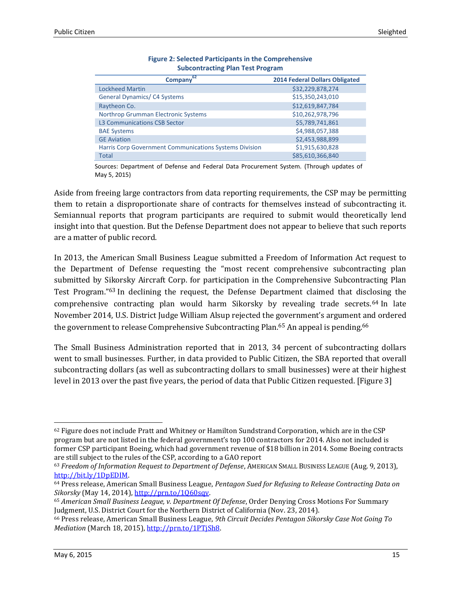| 62<br><b>Company</b>                                   | <b>2014 Federal Dollars Obligated</b> |
|--------------------------------------------------------|---------------------------------------|
| <b>Lockheed Martin</b>                                 | \$32,229,878,274                      |
| <b>General Dynamics/C4 Systems</b>                     | \$15,350,243,010                      |
| Raytheon Co.                                           | \$12,619,847,784                      |
| Northrop Grumman Electronic Systems                    | \$10,262,978,796                      |
| <b>L3 Communications CSB Sector</b>                    | \$5,789,741,861                       |
| <b>BAE Systems</b>                                     | \$4,988,057,388                       |
| <b>GE Aviation</b>                                     | \$2,453,988,899                       |
| Harris Corp Government Communications Systems Division | \$1,915,630,828                       |
| <b>Total</b>                                           | \$85,610,366,840                      |

| <b>Figure 2: Selected Participants in the Comprehensive</b> |
|-------------------------------------------------------------|
| <b>Subcontracting Plan Test Program</b>                     |

Sources: Department of Defense and Federal Data Procurement System. (Through updates of May 5, 2015)

Aside from freeing large contractors from data reporting requirements, the CSP may be permitting them to retain a disproportionate share of contracts for themselves instead of subcontracting it. Semiannual reports that program participants are required to submit would theoretically lend insight into that question. But the Defense Department does not appear to believe that such reports are a matter of public record.

In 2013, the American Small Business League submitted a Freedom of Information Act request to the Department of Defense requesting the "most recent comprehensive subcontracting plan submitted by Sikorsky Aircraft Corp. for participation in the Comprehensive Subcontracting Plan Test Program."<sup>63</sup> In declining the request, the Defense Department claimed that disclosing the comprehensive contracting plan would harm Sikorsky by revealing trade secrets.<sup>64</sup> In late November 2014, U.S. District Judge William Alsup rejected the government's argument and ordered the government to release Comprehensive Subcontracting Plan.<sup>65</sup> An appeal is pending.<sup>66</sup>

The Small Business Administration reported that in 2013, 34 percent of subcontracting dollars went to small businesses. Further, in data provided to Public Citizen, the SBA reported that overall subcontracting dollars (as well as subcontracting dollars to small businesses) were at their highest level in 2013 over the past five years, the period of data that Public Citizen requested. [Figure 3]

 $\overline{\phantom{0}}$  $62$  Figure does not include Pratt and Whitney or Hamilton Sundstrand Corporation, which are in the CSP program but are not listed in the federal government's top 100 contractors for 2014. Also not included is former CSP participant Boeing, which had government revenue of \$18 billion in 2014. Some Boeing contracts are still subject to the rules of the CSP, according to a GAO report

<sup>63</sup> *Freedom of Information Request to Department of Defense*, AMERICAN SMALL BUSINESS LEAGUE (Aug. 9, 2013), [http://bit.ly/1DpEDIM.](http://bit.ly/1DpEDIM)

<sup>64</sup> Press release, American Small Business League, *Pentagon Sued for Refusing to Release Contracting Data on Sikorsky* (May 14, 2014), [http://prn.to/1Q60sqv.](http://prn.to/1Q60sqv)

<sup>65</sup> *American Small Business League, v. Department Of Defense*, Order Denying Cross Motions For Summary Judgment, U.S. District Court for the Northern District of California (Nov. 23, 2014).

<sup>66</sup> Press release, American Small Business League, *9th Circuit Decides Pentagon Sikorsky Case Not Going To Mediation* (March 18, 2015), [http://prn.to/1PTjSh8.](http://prn.to/1PTjSh8)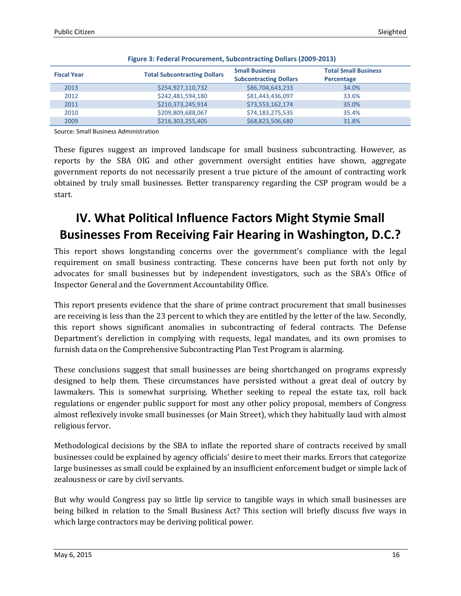| <b>Fiscal Year</b> | <b>Total Subcontracting Dollars</b> | <b>Small Business</b><br><b>Subcontracting Dollars</b> | <b>Total Small Business</b><br>Percentage |
|--------------------|-------------------------------------|--------------------------------------------------------|-------------------------------------------|
| 2013               | \$254,927,110,732                   | \$86,704,643,233                                       | 34.0%                                     |
| 2012               | \$242,481,594,180                   | \$81,443,436,097                                       | 33.6%                                     |
| 2011               | \$210,373,245,914                   | \$73,553,162,174                                       | 35.0%                                     |
| 2010               | \$209,809,688,067                   | \$74,183,275,535                                       | 35.4%                                     |
| 2009               | \$216,303,255,405                   | \$68,823,506,680                                       | 31.8%                                     |

Source: Small Business Administration

These figures suggest an improved landscape for small business subcontracting. However, as reports by the SBA OIG and other government oversight entities have shown, aggregate government reports do not necessarily present a true picture of the amount of contracting work obtained by truly small businesses. Better transparency regarding the CSP program would be a start.

# **IV. What Political Influence Factors Might Stymie Small Businesses From Receiving Fair Hearing in Washington, D.C.?**

This report shows longstanding concerns over the government's compliance with the legal requirement on small business contracting. These concerns have been put forth not only by advocates for small businesses but by independent investigators, such as the SBA's Office of Inspector General and the Government Accountability Office.

This report presents evidence that the share of prime contract procurement that small businesses are receiving is less than the 23 percent to which they are entitled by the letter of the law. Secondly, this report shows significant anomalies in subcontracting of federal contracts. The Defense Department's dereliction in complying with requests, legal mandates, and its own promises to furnish data on the Comprehensive Subcontracting Plan Test Program is alarming.

These conclusions suggest that small businesses are being shortchanged on programs expressly designed to help them. These circumstances have persisted without a great deal of outcry by lawmakers. This is somewhat surprising. Whether seeking to repeal the estate tax, roll back regulations or engender public support for most any other policy proposal, members of Congress almost reflexively invoke small businesses (or Main Street), which they habitually laud with almost religious fervor.

Methodological decisions by the SBA to inflate the reported share of contracts received by small businesses could be explained by agency officials' desire to meet their marks. Errors that categorize large businesses as small could be explained by an insufficient enforcement budget or simple lack of zealousness or care by civil servants.

But why would Congress pay so little lip service to tangible ways in which small businesses are being bilked in relation to the Small Business Act? This section will briefly discuss five ways in which large contractors may be deriving political power.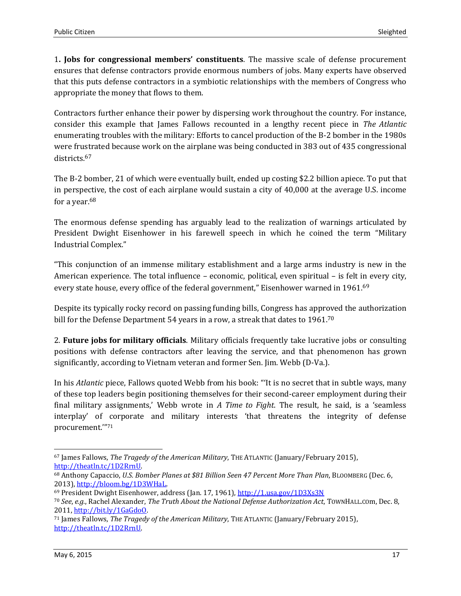1**. Jobs for congressional members' constituents**. The massive scale of defense procurement ensures that defense contractors provide enormous numbers of jobs. Many experts have observed that this puts defense contractors in a symbiotic relationships with the members of Congress who appropriate the money that flows to them.

Contractors further enhance their power by dispersing work throughout the country. For instance, consider this example that James Fallows recounted in a lengthy recent piece in *The Atlantic* enumerating troubles with the military: Efforts to cancel production of the B-2 bomber in the 1980s were frustrated because work on the airplane was being conducted in 383 out of 435 congressional districts.<sup>67</sup>

The B-2 bomber, 21 of which were eventually built, ended up costing \$2.2 billion apiece. To put that in perspective, the cost of each airplane would sustain a city of 40,000 at the average U.S. income for a year.<sup>68</sup>

The enormous defense spending has arguably lead to the realization of warnings articulated by President Dwight Eisenhower in his farewell speech in which he coined the term "Military Industrial Complex."

"This conjunction of an immense military establishment and a large arms industry is new in the American experience. The total influence – economic, political, even spiritual – is felt in every city, every state house, every office of the federal government," Eisenhower warned in 1961.<sup>69</sup>

Despite its typically rocky record on passing funding bills, Congress has approved the authorization bill for the Defense Department 54 years in a row, a streak that dates to 1961.<sup>70</sup>

2. **Future jobs for military officials**. Military officials frequently take lucrative jobs or consulting positions with defense contractors after leaving the service, and that phenomenon has grown significantly, according to Vietnam veteran and former Sen. Jim. Webb (D-Va.).

In his *Atlantic* piece, Fallows quoted Webb from his book: "'It is no secret that in subtle ways, many of these top leaders begin positioning themselves for their second-career employment during their final military assignments,' Webb wrote in *A Time to Fight*. The result, he said, is a 'seamless interplay' of corporate and military interests 'that threatens the integrity of defense procurement.'"<sup>71</sup>

 $\overline{a}$ 

<sup>67</sup> James Fallows, *The Tragedy of the American Military*, THE ATLANTIC (January/February 2015), [http://theatln.tc/1D2RrnU.](http://theatln.tc/1D2RrnU)

<sup>68</sup> Anthony Capaccio, *U.S. Bomber Planes at \$81 Billion Seen 47 Percent More Than Plan*, BLOOMBERG (Dec. 6, 2013), [http://bloom.bg/1D3WHaL.](http://bloom.bg/1D3WHaL)

<sup>69</sup> President Dwight Eisenhower, address (Jan. 17, 1961),<http://1.usa.gov/1D3Xs3N>

<sup>70</sup> *See*, *e.g.*, Rachel Alexander, *The Truth About the National Defense Authorization Act*, TOWNHALL.COm, Dec. 8, 2011[, http://bit.ly/1GaGdoO.](http://bit.ly/1GaGdoO)

<sup>71</sup> James Fallows, *The Tragedy of the American Military*, THE ATLANTIC (January/February 2015), [http://theatln.tc/1D2RrnU.](http://theatln.tc/1D2RrnU)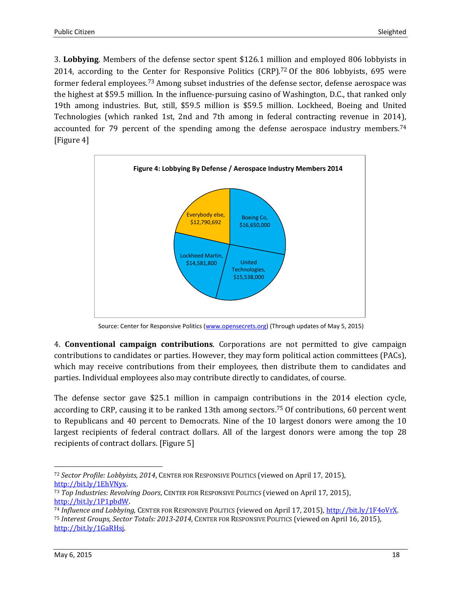3. **Lobbying**. Members of the defense sector spent \$126.1 million and employed 806 lobbyists in 2014, according to the Center for Responsive Politics  $(CRP)$ .<sup>72</sup> Of the 806 lobbyists, 695 were former federal employees.<sup>73</sup> Among subset industries of the defense sector, defense aerospace was the highest at \$59.5 million. In the influence-pursuing casino of Washington, D.C., that ranked only 19th among industries. But, still, \$59.5 million is \$59.5 million. Lockheed, Boeing and United Technologies (which ranked 1st, 2nd and 7th among in federal contracting revenue in 2014), accounted for 79 percent of the spending among the defense aerospace industry members.<sup>74</sup> [Figure 4]



Source: Center for Responsive Politics [\(www.opensecrets.org\)](http://www.opensecrets.org/) (Through updates of May 5, 2015)

4. **Conventional campaign contributions**. Corporations are not permitted to give campaign contributions to candidates or parties. However, they may form political action committees (PACs), which may receive contributions from their employees, then distribute them to candidates and parties. Individual employees also may contribute directly to candidates, of course.

The defense sector gave \$25.1 million in campaign contributions in the 2014 election cycle, according to CRP, causing it to be ranked 13th among sectors. <sup>75</sup> Of contributions, 60 percent went to Republicans and 40 percent to Democrats. Nine of the 10 largest donors were among the 10 largest recipients of federal contract dollars. All of the largest donors were among the top 28 recipients of contract dollars. [Figure 5]

l <sup>72</sup> *Sector Profile: Lobbyists, 2014*, CENTER FOR RESPONSIVE POLITICS (viewed on April 17, 2015), [http://bit.ly/1EhVNyx.](http://bit.ly/1EhVNyx)

<sup>73</sup> *Top Industries: Revolving Doors*, CENTER FOR RESPONSIVE POLITICS (viewed on April 17, 2015), [http://bit.ly/1P1pbdW.](http://bit.ly/1P1pbdW)

<sup>74</sup> *Influence and Lobbying*, CENTER FOR RESPONSIVE POLITICS (viewed on April 17, 2015)[, http://bit.ly/1F4oVrX.](http://bit.ly/1F4oVrX) <sup>75</sup> *Interest Groups, Sector Totals: 2013-2014*, CENTER FOR RESPONSIVE POLITICS (viewed on April 16, 2015), [http://bit.ly/1GaRHsj.](http://bit.ly/1GaRHsj)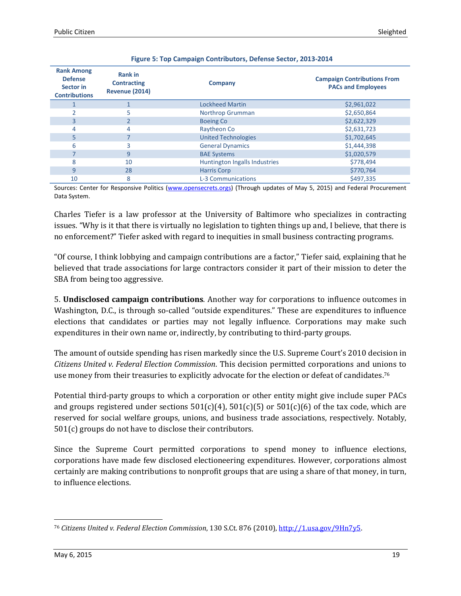| <b>Rank Among</b><br><b>Defense</b><br>Sector in<br><b>Contributions</b> | <b>Rank in</b><br><b>Contracting</b><br><b>Revenue (2014)</b> | Company                       | <b>Campaign Contributions From</b><br><b>PACs and Employees</b> |
|--------------------------------------------------------------------------|---------------------------------------------------------------|-------------------------------|-----------------------------------------------------------------|
|                                                                          |                                                               | <b>Lockheed Martin</b>        | \$2,961,022                                                     |
|                                                                          | 5                                                             | Northrop Grumman              | \$2,650,864                                                     |
| 3                                                                        |                                                               | <b>Boeing Co</b>              | \$2,622,329                                                     |
| 4                                                                        | 4                                                             | Raytheon Co                   | \$2,631,723                                                     |
| 5                                                                        |                                                               | <b>United Technologies</b>    | \$1,702,645                                                     |
| 6                                                                        | 3                                                             | <b>General Dynamics</b>       | \$1,444,398                                                     |
|                                                                          | 9                                                             | <b>BAE Systems</b>            | \$1,020,579                                                     |
| 8                                                                        | 10                                                            | Huntington Ingalls Industries | \$778,494                                                       |
| 9                                                                        | 28                                                            | <b>Harris Corp</b>            | \$770,764                                                       |
| 10                                                                       | 8                                                             | <b>L-3 Communications</b>     | \$497.335                                                       |

Sources: Center for Responsive Politics [\(www.opensecrets.orgs\)](http://www.opensecrets.orgs/) (Through updates of May 5, 2015) and Federal Procurement Data System.

Charles Tiefer is a law professor at the University of Baltimore who specializes in contracting issues. "Why is it that there is virtually no legislation to tighten things up and, I believe, that there is no enforcement?" Tiefer asked with regard to inequities in small business contracting programs.

"Of course, I think lobbying and campaign contributions are a factor," Tiefer said, explaining that he believed that trade associations for large contractors consider it part of their mission to deter the SBA from being too aggressive.

5. **Undisclosed campaign contributions**. Another way for corporations to influence outcomes in Washington, D.C., is through so-called "outside expenditures." These are expenditures to influence elections that candidates or parties may not legally influence. Corporations may make such expenditures in their own name or, indirectly, by contributing to third-party groups.

The amount of outside spending has risen markedly since the U.S. Supreme Court's 2010 decision in *Citizens United v. Federal Election Commission*. This decision permitted corporations and unions to use money from their treasuries to explicitly advocate for the election or defeat of candidates.<sup>76</sup>

Potential third-party groups to which a corporation or other entity might give include super PACs and groups registered under sections  $501(c)(4)$ ,  $501(c)(5)$  or  $501(c)(6)$  of the tax code, which are reserved for social welfare groups, unions, and business trade associations, respectively. Notably, 501(c) groups do not have to disclose their contributors.

Since the Supreme Court permitted corporations to spend money to influence elections, corporations have made few disclosed electioneering expenditures. However, corporations almost certainly are making contributions to nonprofit groups that are using a share of that money, in turn, to influence elections.

 $\overline{a}$ <sup>76</sup> *Citizens United v. Federal Election Commission*, 130 S.Ct. 876 (2010)[, http://1.usa.gov/9Hn7y5.](http://1.usa.gov/9Hn7y5)